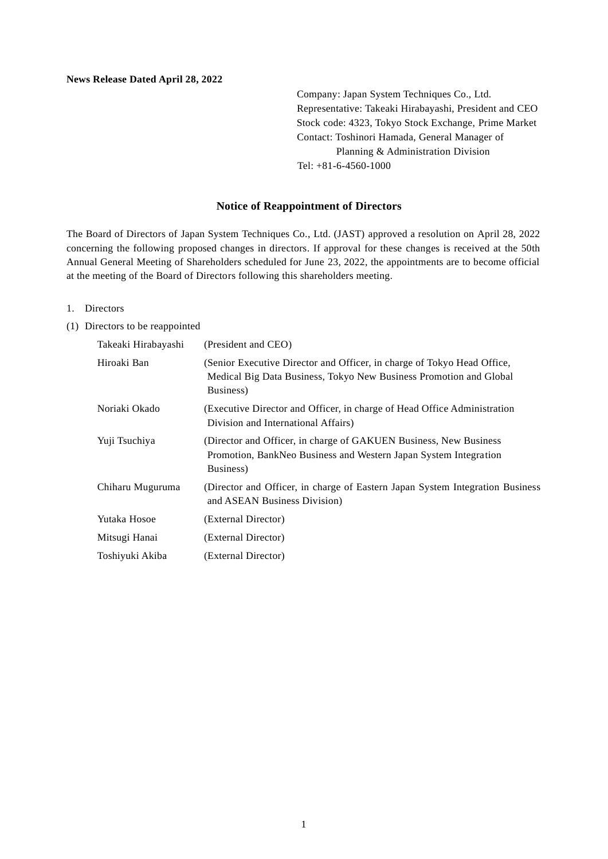Company: Japan System Techniques Co., Ltd. Representative: Takeaki Hirabayashi, President and CEO Stock code: 4323, Tokyo Stock Exchange, Prime Market Contact: Toshinori Hamada, General Manager of Planning & Administration Division Tel: +81-6-4560-1000

## **Notice of Reappointment of Directors**

The Board of Directors of Japan System Techniques Co., Ltd. (JAST) approved a resolution on April 28, 2022 concerning the following proposed changes in directors. If approval for these changes is received at the 50th Annual General Meeting of Shareholders scheduled for June 23, 2022, the appointments are to become official at the meeting of the Board of Directors following this shareholders meeting.

## 1. Directors

## (1) Directors to be reappointed

| Takeaki Hirabayashi | (President and CEO)                                                                                                                                        |
|---------------------|------------------------------------------------------------------------------------------------------------------------------------------------------------|
| Hiroaki Ban         | (Senior Executive Director and Officer, in charge of Tokyo Head Office,<br>Medical Big Data Business, Tokyo New Business Promotion and Global<br>Business) |
| Noriaki Okado       | (Executive Director and Officer, in charge of Head Office Administration)<br>Division and International Affairs)                                           |
| Yuji Tsuchiya       | (Director and Officer, in charge of GAKUEN Business, New Business<br>Promotion, BankNeo Business and Western Japan System Integration<br>Business)         |
| Chiharu Muguruma    | (Director and Officer, in charge of Eastern Japan System Integration Business)<br>and ASEAN Business Division)                                             |
| Yutaka Hosoe        | (External Director)                                                                                                                                        |
| Mitsugi Hanai       | (External Director)                                                                                                                                        |
| Toshiyuki Akiba     | (External Director)                                                                                                                                        |
|                     |                                                                                                                                                            |